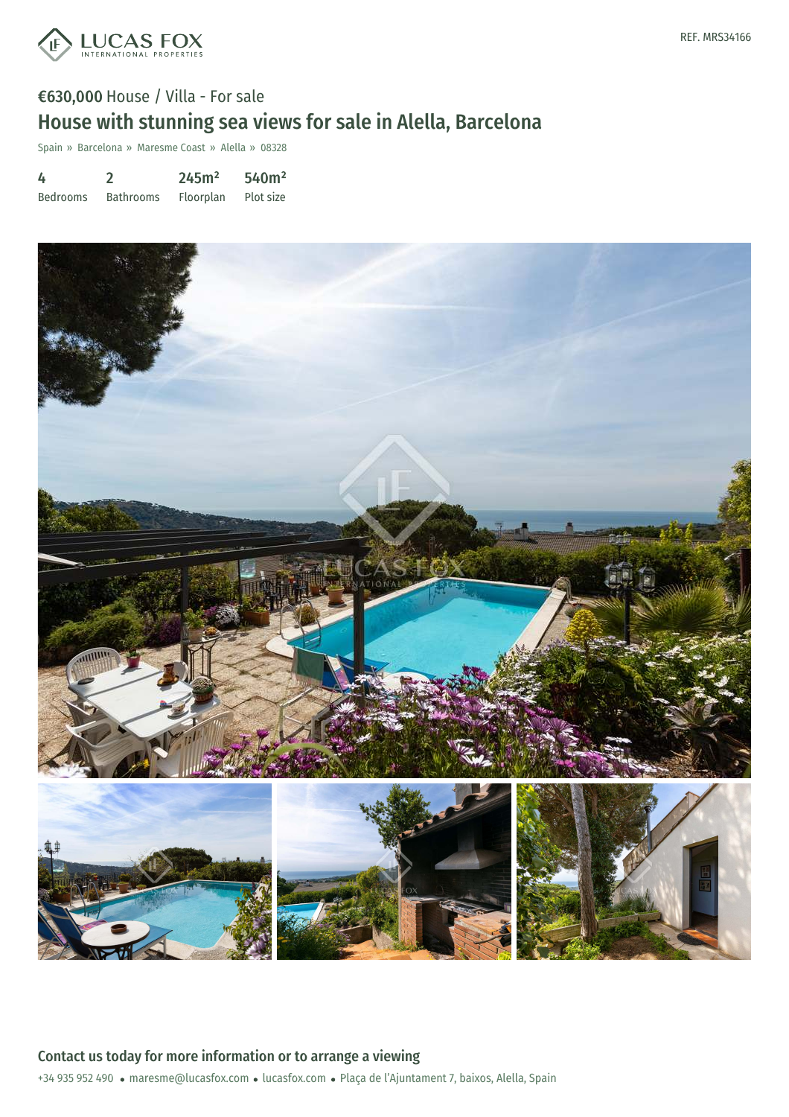

# €630,000 House / Villa - For sale House with stunning sea views for sale in Alella, Barcelona

Spain » Barcelona » Maresme Coast » Alella » 08328

| 4               |                  | 245m <sup>2</sup> | 540m <sup>2</sup> |
|-----------------|------------------|-------------------|-------------------|
| <b>Bedrooms</b> | <b>Bathrooms</b> | Floorplan         | Plot size         |

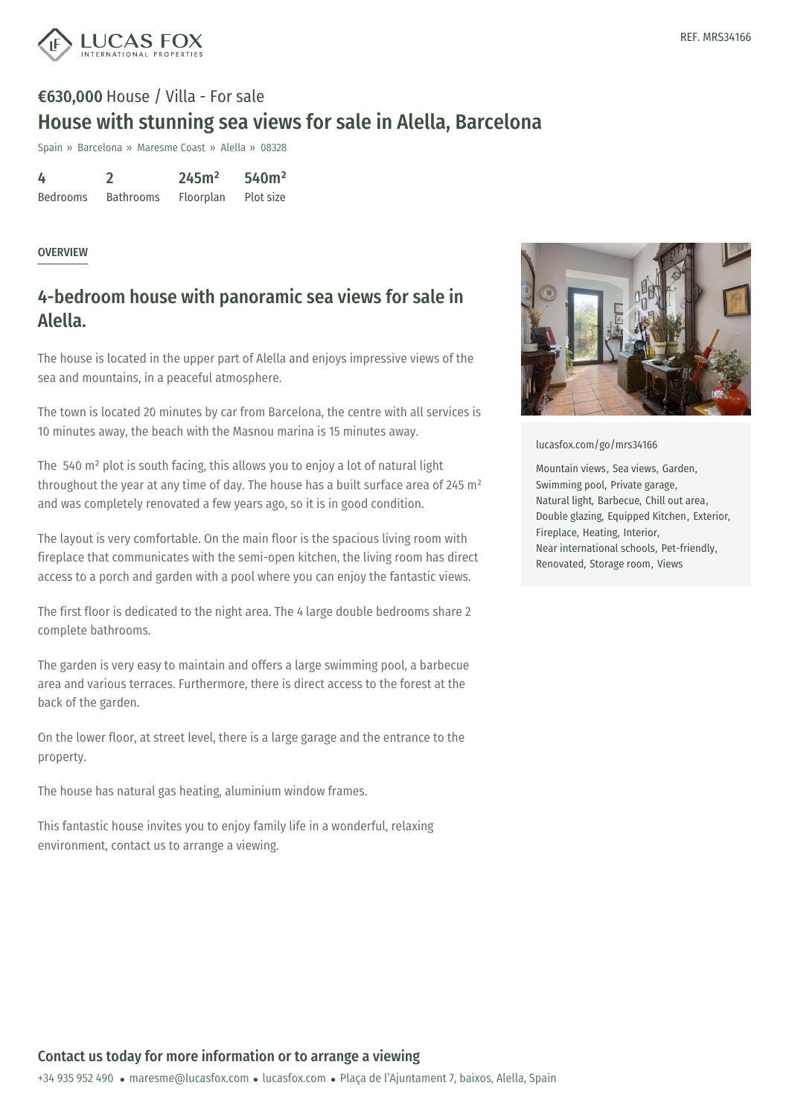

# €630,000 House / Villa - For sale House with stunning sea views for sale in Alella, Barcelona

Spain » Barcelona » Maresme Coast » Alella » 08328

| 4               |                  | 245m <sup>2</sup> | 540m <sup>2</sup> |
|-----------------|------------------|-------------------|-------------------|
| <b>Bedrooms</b> | <b>Bathrooms</b> | Floorplan         | Plot size         |

#### OVERVIEW

### 4-bedroom house with panoramic sea views for sale in Alella.

The house is located in the upper part of Alella and enjoys impressive views of the sea and mountains, in a peaceful atmosphere.

The town is located 20 minutes by car from Barcelona, the centre with all services is 10 minutes away, the beach with the Masnou marina is 15 minutes away.

The 540 m² plot is south facing, this allows you to enjoy a lot of natural light throughout the year at any time of day. The house has a built surface area of 245 m<sup>2</sup> and was completely renovated a few years ago, so it is in good condition.

The layout is very comfortable. On the main floor is the spacious living room with fireplace that communicates with the semi-open kitchen, the living room has direct access to a porch and garden with a pool where you can enjoy the fantastic views.

The first floor is dedicated to the night area. The 4 large double bedrooms share 2 complete bathrooms.

The garden is very easy to maintain and offers a large swimming pool, a barbecue area and various terraces. Furthermore, there is direct access to the forest at the back of the garden.

On the lower floor, at street level, there is a large garage and the entrance to the property.

The house has natural gas heating, aluminium window frames.

This fantastic house [invites](mailto:maresme@lucasfox.com) you to enjoy f[amily](https://www.lucasfox.com) life in a wonderful, relaxing environment, contact us to arrange a viewing.



[lucasfox.com/go/mrs34166](https://www.lucasfox.com/go/mrs34166)

Mountain views, Sea views, Garden, Swimming pool, Private garage, Natural light, Barbecue, Chill out area, Double glazing, Equipped Kitchen, Exterior, Fireplace, Heating, Interior, Near international schools, Pet-friendly, Renovated, Storage room, Views